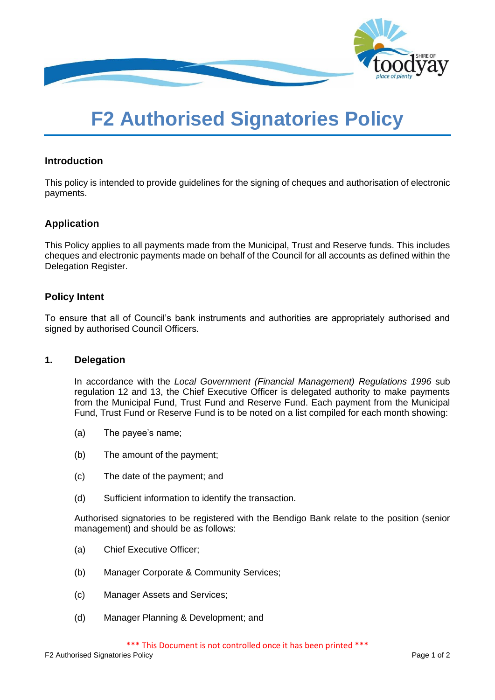

# **F2 Authorised Signatories Policy**

### **Introduction**

This policy is intended to provide guidelines for the signing of cheques and authorisation of electronic payments.

## **Application**

This Policy applies to all payments made from the Municipal, Trust and Reserve funds. This includes cheques and electronic payments made on behalf of the Council for all accounts as defined within the Delegation Register.

## **Policy Intent**

To ensure that all of Council's bank instruments and authorities are appropriately authorised and signed by authorised Council Officers.

#### **1. Delegation**

In accordance with the *Local Government (Financial Management) Regulations 1996* sub regulation 12 and 13, the Chief Executive Officer is delegated authority to make payments from the Municipal Fund, Trust Fund and Reserve Fund. Each payment from the Municipal Fund, Trust Fund or Reserve Fund is to be noted on a list compiled for each month showing:

- (a) The payee's name;
- (b) The amount of the payment;
- (c) The date of the payment; and
- (d) Sufficient information to identify the transaction.

Authorised signatories to be registered with the Bendigo Bank relate to the position (senior management) and should be as follows:

- (a) Chief Executive Officer;
- (b) Manager Corporate & Community Services;
- (c) Manager Assets and Services;
- (d) Manager Planning & Development; and

\*\*\* This Document is not controlled once it has been printed \*\*\*